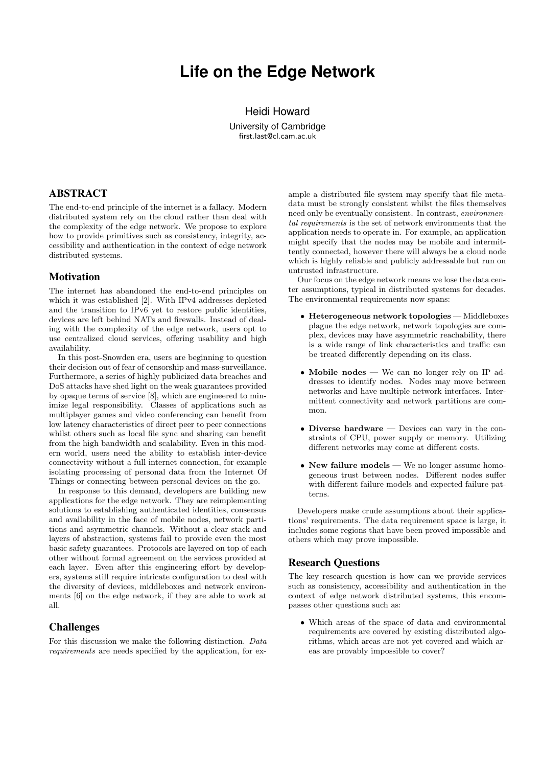# **Life on the Edge Network**

Heidi Howard University of Cambridge first.last@cl.cam.ac.uk

# ABSTRACT

The end-to-end principle of the internet is a fallacy. Modern distributed system rely on the cloud rather than deal with the complexity of the edge network. We propose to explore how to provide primitives such as consistency, integrity, accessibility and authentication in the context of edge network distributed systems.

#### **Motivation**

The internet has abandoned the end-to-end principles on which it was established [2]. With IPv4 addresses depleted and the transition to IPv6 yet to restore public identities, devices are left behind NATs and firewalls. Instead of dealing with the complexity of the edge network, users opt to use centralized cloud services, offering usability and high availability.

In this post-Snowden era, users are beginning to question their decision out of fear of censorship and mass-surveillance. Furthermore, a series of highly publicized data breaches and DoS attacks have shed light on the weak guarantees provided by opaque terms of service [8], which are engineered to minimize legal responsibility. Classes of applications such as multiplayer games and video conferencing can benefit from low latency characteristics of direct peer to peer connections whilst others such as local file sync and sharing can benefit from the high bandwidth and scalability. Even in this modern world, users need the ability to establish inter-device connectivity without a full internet connection, for example isolating processing of personal data from the Internet Of Things or connecting between personal devices on the go.

In response to this demand, developers are building new applications for the edge network. They are reimplementing solutions to establishing authenticated identities, consensus and availability in the face of mobile nodes, network partitions and asymmetric channels. Without a clear stack and layers of abstraction, systems fail to provide even the most basic safety guarantees. Protocols are layered on top of each other without formal agreement on the services provided at each layer. Even after this engineering effort by developers, systems still require intricate configuration to deal with the diversity of devices, middleboxes and network environments [6] on the edge network, if they are able to work at all.

# Challenges

For this discussion we make the following distinction. *Data requirements* are needs specified by the application, for ex-

ample a distributed file system may specify that file metadata must be strongly consistent whilst the files themselves need only be eventually consistent. In contrast, *environmental requirements* is the set of network environments that the application needs to operate in. For example, an application might specify that the nodes may be mobile and intermittently connected, however there will always be a cloud node which is highly reliable and publicly addressable but run on untrusted infrastructure.

Our focus on the edge network means we lose the data center assumptions, typical in distributed systems for decades. The environmental requirements now spans:

- Heterogeneous network topologies Middleboxes plague the edge network, network topologies are complex, devices may have asymmetric reachability, there is a wide range of link characteristics and traffic can be treated differently depending on its class.
- Mobile nodes We can no longer rely on IP addresses to identify nodes. Nodes may move between networks and have multiple network interfaces. Intermittent connectivity and network partitions are common.
- Diverse hardware Devices can vary in the constraints of CPU, power supply or memory. Utilizing different networks may come at different costs.
- New failure models We no longer assume homogeneous trust between nodes. Different nodes suffer with different failure models and expected failure patterns.

Developers make crude assumptions about their applications' requirements. The data requirement space is large, it includes some regions that have been proved impossible and others which may prove impossible.

# Research Questions

The key research question is how can we provide services such as consistency, accessibility and authentication in the context of edge network distributed systems, this encompasses other questions such as:

*•* Which areas of the space of data and environmental requirements are covered by existing distributed algorithms, which areas are not yet covered and which areas are provably impossible to cover?